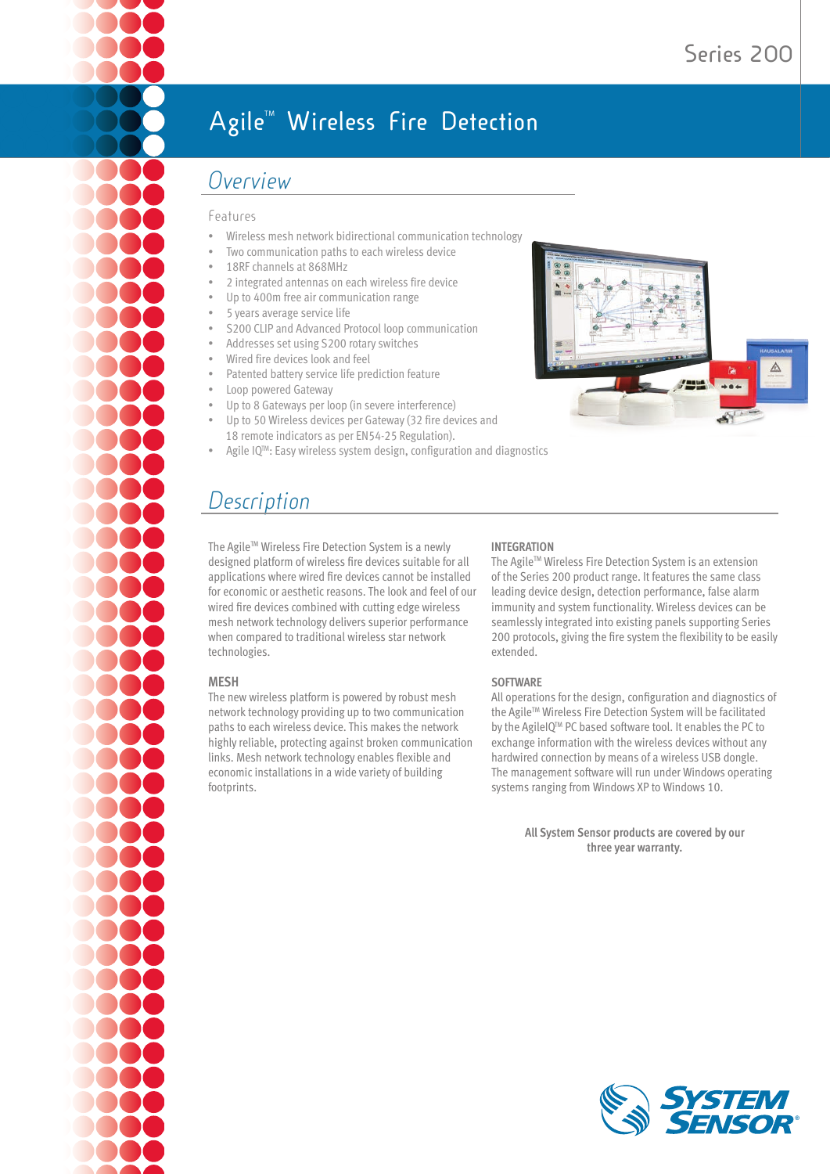# **Agile<sup>™</sup> Wireless Fire Detection**

## *Overview*

#### Features

- Wireless mesh network bidirectional communication technology
- Two communication paths to each wireless device
- 18RF channels at 868MHz
- 2 integrated antennas on each wireless fire device
- Up to 400m free air communication range
- 5 years average service life
- S200 CLIP and Advanced Protocol loop communication
- Addresses set using S200 rotary switches
- Wired fire devices look and feel
- Patented battery service life prediction feature
- Loop powered Gateway
- Up to 8 Gateways per loop (in severe interference)
- Up to 50 Wireless devices per Gateway (32 fire devices and 18 remote indicators as per EN54-25 Regulation).
- Agile IQ<sup>™</sup>: Easy wireless system design, configuration and diagnostics

# *Description*

The Agile™ Wireless Fire Detection System is a newly designed platform of wireless fire devices suitable for all applications where wired fire devices cannot be installed for economic or aesthetic reasons. The look and feel of our wired fire devices combined with cutting edge wireless mesh network technology delivers superior performance when compared to traditional wireless star network technologies.

#### **MESH**

The new wireless platform is powered by robust mesh network technology providing up to two communication paths to each wireless device. This makes the network highly reliable, protecting against broken communication links. Mesh network technology enables flexible and economic installations in a wide variety of building footprints.

#### **INTEGRATION**

The Agile™ Wireless Fire Detection System is an extension of the Series 200 product range. It features the same class leading device design, detection performance, false alarm immunity and system functionality. Wireless devices can be seamlessly integrated into existing panels supporting Series 200 protocols, giving the fire system the flexibility to be easily extended.

#### **SOFTWARE**

All operations for the design, configuration and diagnostics of the Agile™ Wireless Fire Detection System will be facilitated by the AgileIQTM PC based software tool. It enables the PC to exchange information with the wireless devices without any hardwired connection by means of a wireless USB dongle. The management software will run under Windows operating systems ranging from Windows XP to Windows 10.

> **All System Sensor products are covered by our three year warranty.**